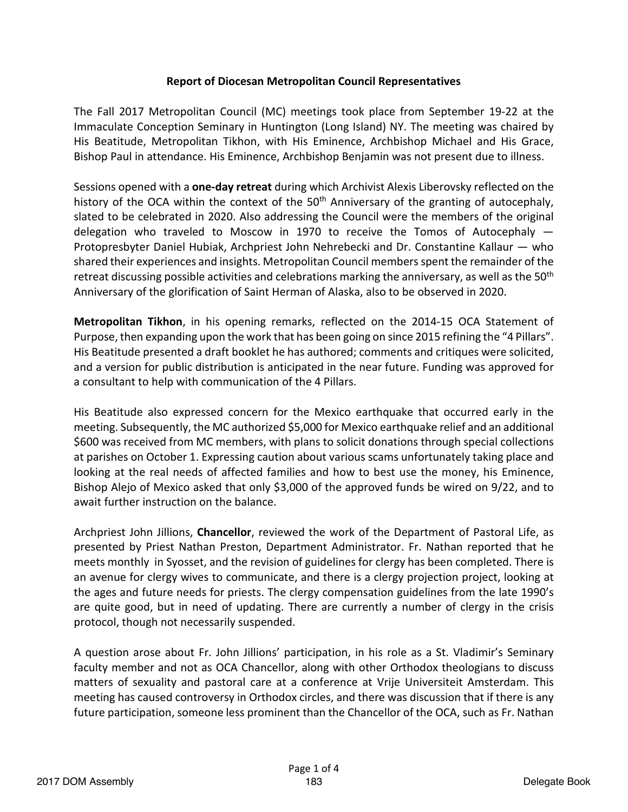## **Report of Diocesan Metropolitan Council Representatives**

The Fall 2017 Metropolitan Council (MC) meetings took place from September 19-22 at the Immaculate Conception Seminary in Huntington (Long Island) NY. The meeting was chaired by His Beatitude, Metropolitan Tikhon, with His Eminence, Archbishop Michael and His Grace, Bishop Paul in attendance. His Eminence, Archbishop Benjamin was not present due to illness.

Sessions opened with a **one-day retreat** during which Archivist Alexis Liberovsky reflected on the history of the OCA within the context of the 50<sup>th</sup> Anniversary of the granting of autocephaly, slated to be celebrated in 2020. Also addressing the Council were the members of the original delegation who traveled to Moscow in 1970 to receive the Tomos of Autocephaly — Protopresbyter Daniel Hubiak, Archpriest John Nehrebecki and Dr. Constantine Kallaur — who shared their experiences and insights. Metropolitan Council members spent the remainder of the retreat discussing possible activities and celebrations marking the anniversary, as well as the 50<sup>th</sup> Anniversary of the glorification of Saint Herman of Alaska, also to be observed in 2020.

**Metropolitan Tikhon**, in his opening remarks, reflected on the 2014-15 OCA Statement of Purpose, then expanding upon the work that has been going on since 2015 refining the "4 Pillars". His Beatitude presented a draft booklet he has authored; comments and critiques were solicited, and a version for public distribution is anticipated in the near future. Funding was approved for a consultant to help with communication of the 4 Pillars.

His Beatitude also expressed concern for the Mexico earthquake that occurred early in the meeting. Subsequently, the MC authorized \$5,000 for Mexico earthquake relief and an additional \$600 was received from MC members, with plans to solicit donations through special collections at parishes on October 1. Expressing caution about various scams unfortunately taking place and looking at the real needs of affected families and how to best use the money, his Eminence, Bishop Alejo of Mexico asked that only \$3,000 of the approved funds be wired on 9/22, and to await further instruction on the balance.

Archpriest John Jillions, **Chancellor**, reviewed the work of the Department of Pastoral Life, as presented by Priest Nathan Preston, Department Administrator. Fr. Nathan reported that he meets monthly in Syosset, and the revision of guidelines for clergy has been completed. There is an avenue for clergy wives to communicate, and there is a clergy projection project, looking at the ages and future needs for priests. The clergy compensation guidelines from the late 1990's are quite good, but in need of updating. There are currently a number of clergy in the crisis protocol, though not necessarily suspended.

A question arose about Fr. John Jillions' participation, in his role as a St. Vladimir's Seminary faculty member and not as OCA Chancellor, along with other Orthodox theologians to discuss matters of sexuality and pastoral care at a conference at Vrije Universiteit Amsterdam. This meeting has caused controversy in Orthodox circles, and there was discussion that if there is any future participation, someone less prominent than the Chancellor of the OCA, such as Fr. Nathan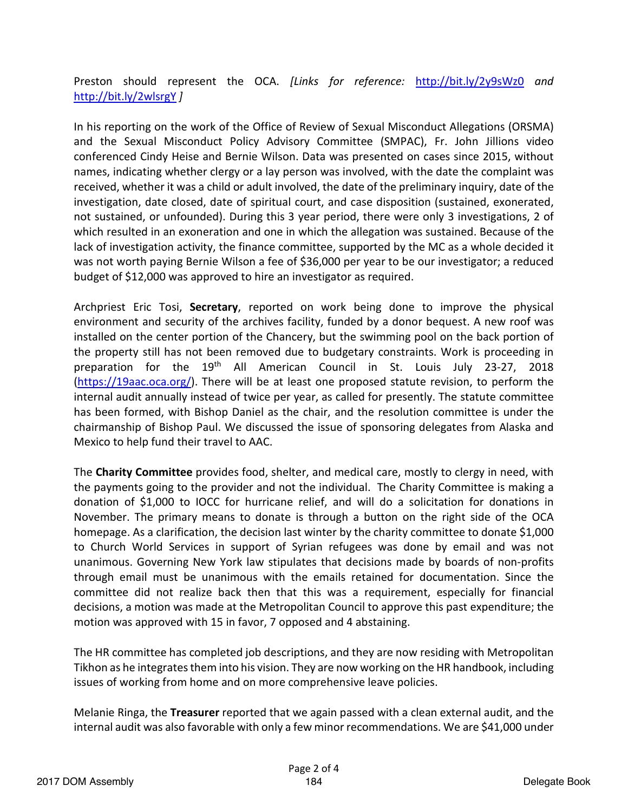Preston should represent the OCA. *[Links for reference:* http://bit.ly/2y9sWz0 *and*  http://bit.ly/2wlsrgY *]*

In his reporting on the work of the Office of Review of Sexual Misconduct Allegations (ORSMA) and the Sexual Misconduct Policy Advisory Committee (SMPAC), Fr. John Jillions video conferenced Cindy Heise and Bernie Wilson. Data was presented on cases since 2015, without names, indicating whether clergy or a lay person was involved, with the date the complaint was received, whether it was a child or adult involved, the date of the preliminary inquiry, date of the investigation, date closed, date of spiritual court, and case disposition (sustained, exonerated, not sustained, or unfounded). During this 3 year period, there were only 3 investigations, 2 of which resulted in an exoneration and one in which the allegation was sustained. Because of the lack of investigation activity, the finance committee, supported by the MC as a whole decided it was not worth paying Bernie Wilson a fee of \$36,000 per year to be our investigator; a reduced budget of \$12,000 was approved to hire an investigator as required.

Archpriest Eric Tosi, **Secretary**, reported on work being done to improve the physical environment and security of the archives facility, funded by a donor bequest. A new roof was installed on the center portion of the Chancery, but the swimming pool on the back portion of the property still has not been removed due to budgetary constraints. Work is proceeding in preparation for the 19<sup>th</sup> All American Council in St. Louis July 23-27, 2018 (https://19aac.oca.org/). There will be at least one proposed statute revision, to perform the internal audit annually instead of twice per year, as called for presently. The statute committee has been formed, with Bishop Daniel as the chair, and the resolution committee is under the chairmanship of Bishop Paul. We discussed the issue of sponsoring delegates from Alaska and Mexico to help fund their travel to AAC.

The **Charity Committee** provides food, shelter, and medical care, mostly to clergy in need, with the payments going to the provider and not the individual. The Charity Committee is making a donation of \$1,000 to IOCC for hurricane relief, and will do a solicitation for donations in November. The primary means to donate is through a button on the right side of the OCA homepage. As a clarification, the decision last winter by the charity committee to donate \$1,000 to Church World Services in support of Syrian refugees was done by email and was not unanimous. Governing New York law stipulates that decisions made by boards of non-profits through email must be unanimous with the emails retained for documentation. Since the committee did not realize back then that this was a requirement, especially for financial decisions, a motion was made at the Metropolitan Council to approve this past expenditure; the motion was approved with 15 in favor, 7 opposed and 4 abstaining.

The HR committee has completed job descriptions, and they are now residing with Metropolitan Tikhon as he integrates them into his vision. They are now working on the HR handbook, including issues of working from home and on more comprehensive leave policies.

Melanie Ringa, the **Treasurer** reported that we again passed with a clean external audit, and the internal audit was also favorable with only a few minor recommendations. We are \$41,000 under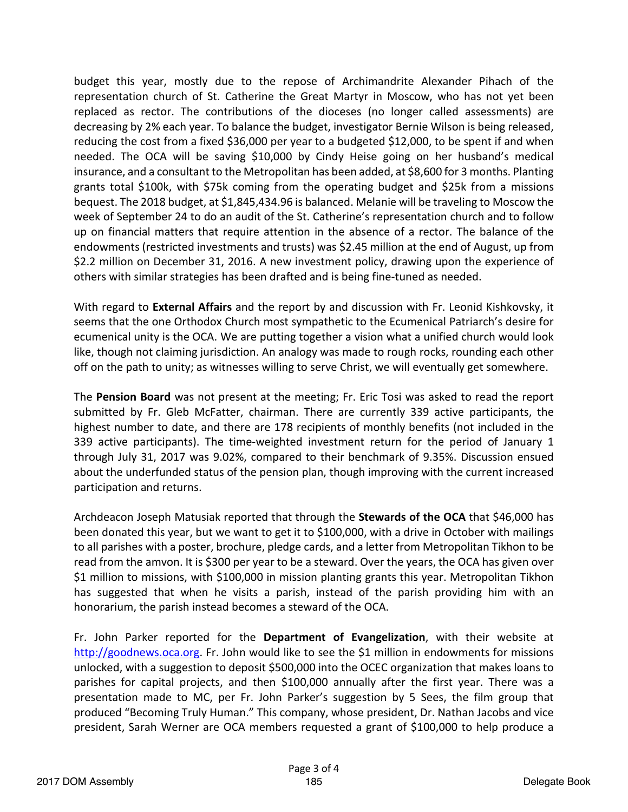budget this year, mostly due to the repose of Archimandrite Alexander Pihach of the representation church of St. Catherine the Great Martyr in Moscow, who has not yet been replaced as rector. The contributions of the dioceses (no longer called assessments) are decreasing by 2% each year. To balance the budget, investigator Bernie Wilson is being released, reducing the cost from a fixed \$36,000 per year to a budgeted \$12,000, to be spent if and when needed. The OCA will be saving \$10,000 by Cindy Heise going on her husband's medical insurance, and a consultant to the Metropolitan has been added, at \$8,600 for 3 months. Planting grants total \$100k, with \$75k coming from the operating budget and \$25k from a missions bequest. The 2018 budget, at \$1,845,434.96 is balanced. Melanie will be traveling to Moscow the week of September 24 to do an audit of the St. Catherine's representation church and to follow up on financial matters that require attention in the absence of a rector. The balance of the endowments (restricted investments and trusts) was \$2.45 million at the end of August, up from \$2.2 million on December 31, 2016. A new investment policy, drawing upon the experience of others with similar strategies has been drafted and is being fine-tuned as needed.

With regard to **External Affairs** and the report by and discussion with Fr. Leonid Kishkovsky, it seems that the one Orthodox Church most sympathetic to the Ecumenical Patriarch's desire for ecumenical unity is the OCA. We are putting together a vision what a unified church would look like, though not claiming jurisdiction. An analogy was made to rough rocks, rounding each other off on the path to unity; as witnesses willing to serve Christ, we will eventually get somewhere.

The **Pension Board** was not present at the meeting; Fr. Eric Tosi was asked to read the report submitted by Fr. Gleb McFatter, chairman. There are currently 339 active participants, the highest number to date, and there are 178 recipients of monthly benefits (not included in the 339 active participants). The time-weighted investment return for the period of January 1 through July 31, 2017 was 9.02%, compared to their benchmark of 9.35%. Discussion ensued about the underfunded status of the pension plan, though improving with the current increased participation and returns.

Archdeacon Joseph Matusiak reported that through the **Stewards of the OCA** that \$46,000 has been donated this year, but we want to get it to \$100,000, with a drive in October with mailings to all parishes with a poster, brochure, pledge cards, and a letter from Metropolitan Tikhon to be read from the amvon. It is \$300 per year to be a steward. Over the years, the OCA has given over \$1 million to missions, with \$100,000 in mission planting grants this year. Metropolitan Tikhon has suggested that when he visits a parish, instead of the parish providing him with an honorarium, the parish instead becomes a steward of the OCA.

Fr. John Parker reported for the **Department of Evangelization**, with their website at http://goodnews.oca.org. Fr. John would like to see the \$1 million in endowments for missions unlocked, with a suggestion to deposit \$500,000 into the OCEC organization that makes loans to parishes for capital projects, and then \$100,000 annually after the first year. There was a presentation made to MC, per Fr. John Parker's suggestion by 5 Sees, the film group that produced "Becoming Truly Human." This company, whose president, Dr. Nathan Jacobs and vice president, Sarah Werner are OCA members requested a grant of \$100,000 to help produce a